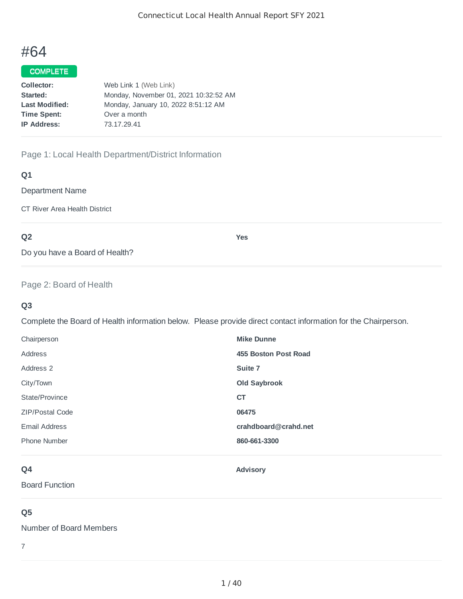# #64

### COMPLETE

| Collector:            | Web Link 1 (Web Link)                 |
|-----------------------|---------------------------------------|
| Started:              | Monday, November 01, 2021 10:32:52 AM |
| <b>Last Modified:</b> | Monday, January 10, 2022 8:51:12 AM   |
| <b>Time Spent:</b>    | Over a month                          |
| <b>IP Address:</b>    | 73.17.29.41                           |
|                       |                                       |

### Page 1: Local Health Department/District Information

### **Q1**

Department Name

CT River Area Health District

# **Q2**

**Yes**

Do you have a Board of Health?

### Page 2: Board of Health

### **Q3**

Complete the Board of Health information below. Please provide direct contact information for the Chairperson.

| Chairperson            | <b>Mike Dunne</b>    |
|------------------------|----------------------|
| Address                | 455 Boston Post Road |
| Address 2              | Suite 7              |
| City/Town              | <b>Old Saybrook</b>  |
| State/Province         | <b>CT</b>            |
| <b>ZIP/Postal Code</b> | 06475                |
| Email Address          | crahdboard@crahd.net |
| <b>Phone Number</b>    | 860-661-3300         |
|                        |                      |

# **Q4**

**Advisory**

Board Function

# **Q5**

Number of Board Members

7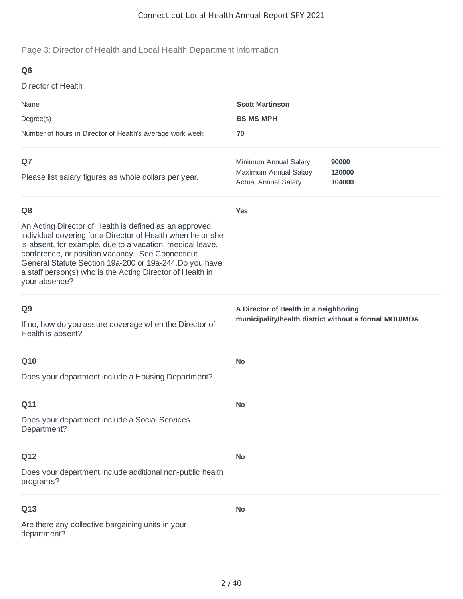# Page 3: Director of Health and Local Health Department Information

| Q <sub>6</sub>                                                                                                                                                                                                                                                                                                                                                                 |                                                                                                |                  |
|--------------------------------------------------------------------------------------------------------------------------------------------------------------------------------------------------------------------------------------------------------------------------------------------------------------------------------------------------------------------------------|------------------------------------------------------------------------------------------------|------------------|
| Director of Health                                                                                                                                                                                                                                                                                                                                                             |                                                                                                |                  |
| Name                                                                                                                                                                                                                                                                                                                                                                           | <b>Scott Martinson</b>                                                                         |                  |
| Degree(s)                                                                                                                                                                                                                                                                                                                                                                      | <b>BS MS MPH</b>                                                                               |                  |
| Number of hours in Director of Health's average work week                                                                                                                                                                                                                                                                                                                      | 70                                                                                             |                  |
| Q7                                                                                                                                                                                                                                                                                                                                                                             | Minimum Annual Salary                                                                          | 90000            |
| Please list salary figures as whole dollars per year.                                                                                                                                                                                                                                                                                                                          | Maximum Annual Salary<br><b>Actual Annual Salary</b>                                           | 120000<br>104000 |
| Q <sub>8</sub>                                                                                                                                                                                                                                                                                                                                                                 | <b>Yes</b>                                                                                     |                  |
| An Acting Director of Health is defined as an approved<br>individual covering for a Director of Health when he or she<br>is absent, for example, due to a vacation, medical leave,<br>conference, or position vacancy. See Connecticut<br>General Statute Section 19a-200 or 19a-244.Do you have<br>a staff person(s) who is the Acting Director of Health in<br>your absence? |                                                                                                |                  |
| Q <sub>9</sub><br>If no, how do you assure coverage when the Director of<br>Health is absent?                                                                                                                                                                                                                                                                                  | A Director of Health in a neighboring<br>municipality/health district without a formal MOU/MOA |                  |
| Q10                                                                                                                                                                                                                                                                                                                                                                            | <b>No</b>                                                                                      |                  |
| Does your department include a Housing Department?                                                                                                                                                                                                                                                                                                                             |                                                                                                |                  |
| Q11                                                                                                                                                                                                                                                                                                                                                                            | <b>No</b>                                                                                      |                  |
| Does your department include a Social Services<br>Department?                                                                                                                                                                                                                                                                                                                  |                                                                                                |                  |
| Q12                                                                                                                                                                                                                                                                                                                                                                            | <b>No</b>                                                                                      |                  |
| Does your department include additional non-public health<br>programs?                                                                                                                                                                                                                                                                                                         |                                                                                                |                  |
| Q13                                                                                                                                                                                                                                                                                                                                                                            | <b>No</b>                                                                                      |                  |
| Are there any collective bargaining units in your<br>department?                                                                                                                                                                                                                                                                                                               |                                                                                                |                  |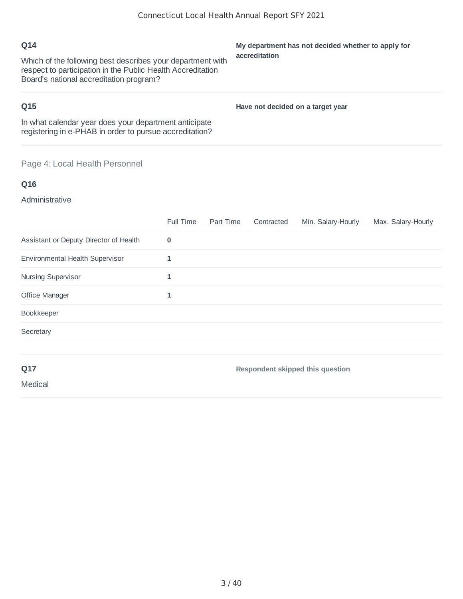| Q14<br>Which of the following best describes your department with<br>respect to participation in the Public Health Accreditation<br>Board's national accreditation program? | My department has not decided whether to apply for<br>accreditation |
|-----------------------------------------------------------------------------------------------------------------------------------------------------------------------------|---------------------------------------------------------------------|
| Q15                                                                                                                                                                         | Have not decided on a target year                                   |
| In what calendar year does your department anticipate<br>registering in e-PHAB in order to pursue accreditation?                                                            |                                                                     |
|                                                                                                                                                                             |                                                                     |

# Page 4: Local Health Personnel

# **Q16**

Administrative

|                                        | Full Time | Part Time | Contracted | Min. Salary-Hourly               | Max. Salary-Hourly |
|----------------------------------------|-----------|-----------|------------|----------------------------------|--------------------|
| Assistant or Deputy Director of Health | $\bf{0}$  |           |            |                                  |                    |
| Environmental Health Supervisor        | 1         |           |            |                                  |                    |
| Nursing Supervisor                     | 1         |           |            |                                  |                    |
| Office Manager                         | 1         |           |            |                                  |                    |
| Bookkeeper                             |           |           |            |                                  |                    |
| Secretary                              |           |           |            |                                  |                    |
|                                        |           |           |            |                                  |                    |
| Q17                                    |           |           |            | Respondent skipped this question |                    |

Medical

3 / 40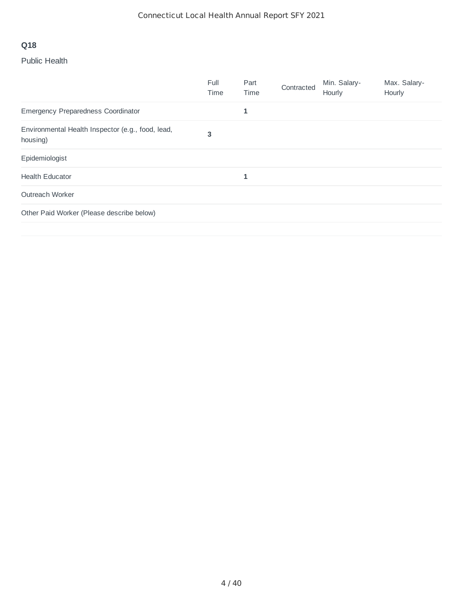# **Q18**

# Public Health

|                                                               | Full<br>Time | Part<br>Time | Contracted | Min. Salary-<br>Hourly | Max. Salary-<br>Hourly |
|---------------------------------------------------------------|--------------|--------------|------------|------------------------|------------------------|
| Emergency Preparedness Coordinator                            |              | 1            |            |                        |                        |
| Environmental Health Inspector (e.g., food, lead,<br>housing) | 3            |              |            |                        |                        |
| Epidemiologist                                                |              |              |            |                        |                        |
| <b>Health Educator</b>                                        |              | 1            |            |                        |                        |
| Outreach Worker                                               |              |              |            |                        |                        |
| Other Paid Worker (Please describe below)                     |              |              |            |                        |                        |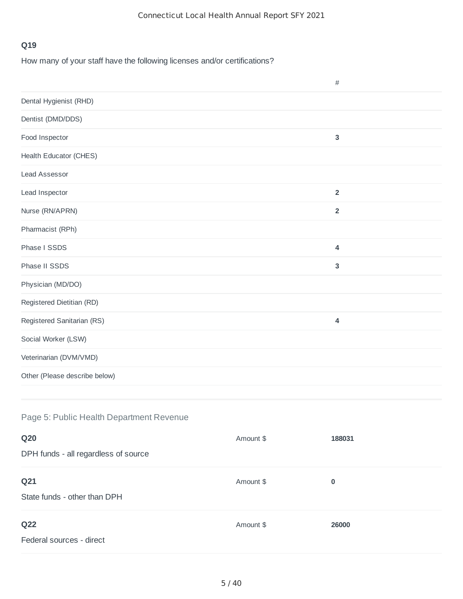# **Q19**

How many of your staff have the following licenses and/or certifications?

|                               | $\#$                    |  |
|-------------------------------|-------------------------|--|
| Dental Hygienist (RHD)        |                         |  |
| Dentist (DMD/DDS)             |                         |  |
| Food Inspector                | $\overline{3}$          |  |
| <b>Health Educator (CHES)</b> |                         |  |
| <b>Lead Assessor</b>          |                         |  |
| Lead Inspector                | $\overline{2}$          |  |
| Nurse (RN/APRN)               | $\overline{2}$          |  |
| Pharmacist (RPh)              |                         |  |
| Phase I SSDS                  | $\pmb{4}$               |  |
| Phase II SSDS                 | $\mathbf{3}$            |  |
| Physician (MD/DO)             |                         |  |
| Registered Dietitian (RD)     |                         |  |
| Registered Sanitarian (RS)    | $\overline{\mathbf{4}}$ |  |
| Social Worker (LSW)           |                         |  |
| Veterinarian (DVM/VMD)        |                         |  |
| Other (Please describe below) |                         |  |
|                               |                         |  |

# Page 5: Public Health Department Revenue

| <b>Q20</b>                                  | Amount \$ | 188031   |
|---------------------------------------------|-----------|----------|
| DPH funds - all regardless of source        |           |          |
| Q21<br>State funds - other than DPH         | Amount \$ | $\bf{0}$ |
| Q <sub>22</sub><br>Federal sources - direct | Amount \$ | 26000    |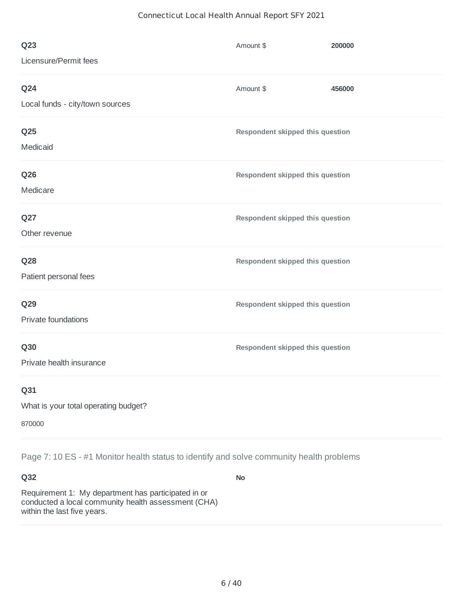#### Connecticut Local Health Annual Report SFY 2021

| Q <sub>23</sub>                      | Amount \$                        | 200000 |
|--------------------------------------|----------------------------------|--------|
| Licensure/Permit fees                |                                  |        |
| <b>Q24</b>                           | Amount \$                        | 456000 |
| Local funds - city/town sources      |                                  |        |
| Q <sub>25</sub>                      | Respondent skipped this question |        |
| Medicaid                             |                                  |        |
| <b>Q26</b>                           | Respondent skipped this question |        |
| Medicare                             |                                  |        |
| Q27                                  | Respondent skipped this question |        |
| Other revenue                        |                                  |        |
| <b>Q28</b>                           | Respondent skipped this question |        |
| Patient personal fees                |                                  |        |
| Q29                                  | Respondent skipped this question |        |
| Private foundations                  |                                  |        |
| <b>Q30</b>                           | Respondent skipped this question |        |
| Private health insurance             |                                  |        |
| Q31                                  |                                  |        |
| What is your total operating budget? |                                  |        |

870000

Page 7: 10 ES - #1 Monitor health status to identify and solve community health problems

**Q32**

**No**

Requirement 1: My department has participated in or conducted a local community health assessment (CHA) within the last five years.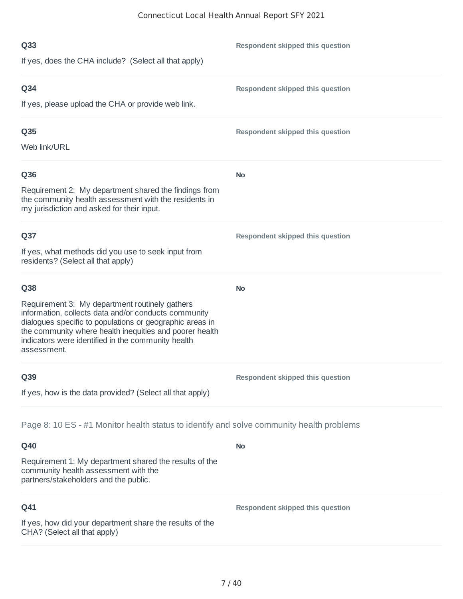| Q <sub>33</sub><br>If yes, does the CHA include? (Select all that apply)                                                                                                                                                                                                                                  | Respondent skipped this question |
|-----------------------------------------------------------------------------------------------------------------------------------------------------------------------------------------------------------------------------------------------------------------------------------------------------------|----------------------------------|
| Q <sub>34</sub><br>If yes, please upload the CHA or provide web link.                                                                                                                                                                                                                                     | Respondent skipped this question |
| Q35<br>Web link/URL                                                                                                                                                                                                                                                                                       | Respondent skipped this question |
| Q36<br>Requirement 2: My department shared the findings from<br>the community health assessment with the residents in<br>my jurisdiction and asked for their input.                                                                                                                                       | <b>No</b>                        |
| Q <sub>37</sub><br>If yes, what methods did you use to seek input from<br>residents? (Select all that apply)                                                                                                                                                                                              | Respondent skipped this question |
| Q38<br>Requirement 3: My department routinely gathers<br>information, collects data and/or conducts community<br>dialogues specific to populations or geographic areas in<br>the community where health inequities and poorer health<br>indicators were identified in the community health<br>assessment. | <b>No</b>                        |
| Q39<br>If yes, how is the data provided? (Select all that apply)                                                                                                                                                                                                                                          | Respondent skipped this question |
| Page 8: 10 ES - #1 Monitor health status to identify and solve community health problems                                                                                                                                                                                                                  |                                  |
| Q40<br>Requirement 1: My department shared the results of the<br>community health assessment with the<br>partners/stakeholders and the public.                                                                                                                                                            | <b>No</b>                        |
| Q41<br>If yes, how did your department share the results of the<br>CHA? (Select all that apply)                                                                                                                                                                                                           | Respondent skipped this question |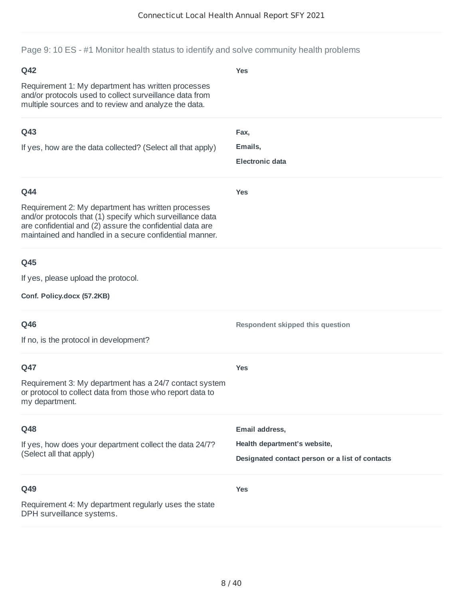Page 9: 10 ES - #1 Monitor health status to identify and solve community health problems

| Q42                                                                                                                                                                                                                                     | <b>Yes</b>                                                                      |
|-----------------------------------------------------------------------------------------------------------------------------------------------------------------------------------------------------------------------------------------|---------------------------------------------------------------------------------|
| Requirement 1: My department has written processes<br>and/or protocols used to collect surveillance data from<br>multiple sources and to review and analyze the data.                                                                   |                                                                                 |
| Q43                                                                                                                                                                                                                                     | Fax,                                                                            |
| If yes, how are the data collected? (Select all that apply)                                                                                                                                                                             | Emails,<br><b>Electronic data</b>                                               |
| Q44                                                                                                                                                                                                                                     | <b>Yes</b>                                                                      |
| Requirement 2: My department has written processes<br>and/or protocols that (1) specify which surveillance data<br>are confidential and (2) assure the confidential data are<br>maintained and handled in a secure confidential manner. |                                                                                 |
| Q45                                                                                                                                                                                                                                     |                                                                                 |
| If yes, please upload the protocol.                                                                                                                                                                                                     |                                                                                 |
| Conf. Policy.docx (57.2KB)                                                                                                                                                                                                              |                                                                                 |
| Q46                                                                                                                                                                                                                                     | Respondent skipped this question                                                |
| If no, is the protocol in development?                                                                                                                                                                                                  |                                                                                 |
| Q47                                                                                                                                                                                                                                     | <b>Yes</b>                                                                      |
| Requirement 3: My department has a 24/7 contact system<br>or protocol to collect data from those who report data to<br>my department.                                                                                                   |                                                                                 |
| Q48                                                                                                                                                                                                                                     | Email address,                                                                  |
| If yes, how does your department collect the data 24/7?<br>(Select all that apply)                                                                                                                                                      | Health department's website,<br>Designated contact person or a list of contacts |
| Q49                                                                                                                                                                                                                                     | <b>Yes</b>                                                                      |
| Requirement 4: My department regularly uses the state<br>DPH surveillance systems.                                                                                                                                                      |                                                                                 |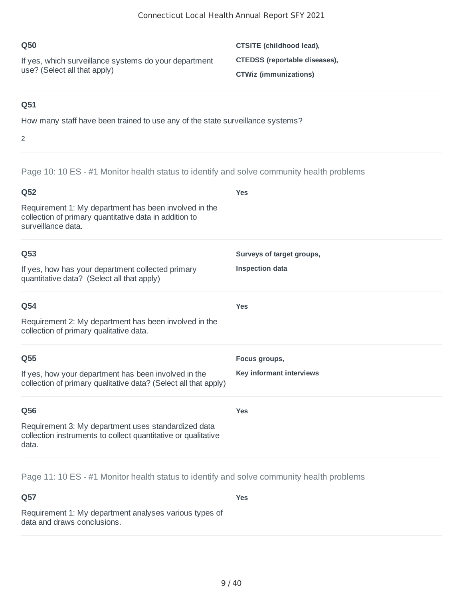| <b>O50</b>                                            | CTSITE (childhood lead),      |
|-------------------------------------------------------|-------------------------------|
| If yes, which surveillance systems do your department | CTEDSS (reportable diseases), |
| use? (Select all that apply)                          | <b>CTWiz (immunizations)</b>  |

### **Q51**

How many staff have been trained to use any of the state surveillance systems?

#### 2

Page 10: 10 ES - #1 Monitor health status to identify and solve community health problems

| Q52                                                                                                                                   | <b>Yes</b>                |
|---------------------------------------------------------------------------------------------------------------------------------------|---------------------------|
| Requirement 1: My department has been involved in the<br>collection of primary quantitative data in addition to<br>surveillance data. |                           |
| Q53                                                                                                                                   | Surveys of target groups, |
| If yes, how has your department collected primary<br>quantitative data? (Select all that apply)                                       | <b>Inspection data</b>    |
| Q54                                                                                                                                   | <b>Yes</b>                |
| Requirement 2: My department has been involved in the<br>collection of primary qualitative data.                                      |                           |
| Q55                                                                                                                                   | Focus groups,             |
| If yes, how your department has been involved in the<br>collection of primary qualitative data? (Select all that apply)               | Key informant interviews  |
| Q56                                                                                                                                   | <b>Yes</b>                |
| Requirement 3: My department uses standardized data<br>collection instruments to collect quantitative or qualitative<br>data.         |                           |

Page 11: 10 ES - #1 Monitor health status to identify and solve community health problems

**Q57** Requirement 1: My department analyses various types of data and draws conclusions. **Yes**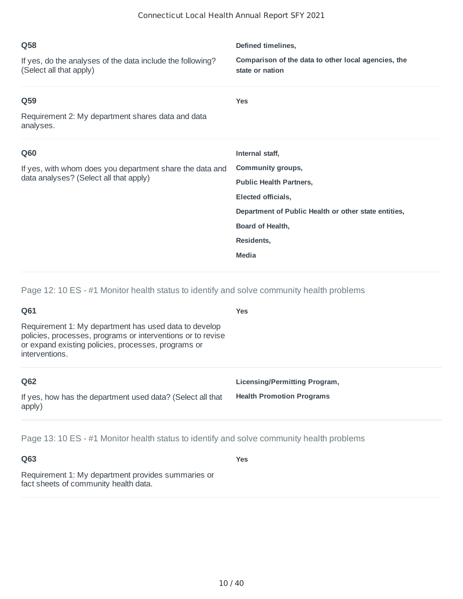| Q58                                                                                   | Defined timelines,                                                     |
|---------------------------------------------------------------------------------------|------------------------------------------------------------------------|
| If yes, do the analyses of the data include the following?<br>(Select all that apply) | Comparison of the data to other local agencies, the<br>state or nation |
| Q59                                                                                   | <b>Yes</b>                                                             |
| Requirement 2: My department shares data and data<br>analyses.                        |                                                                        |
|                                                                                       |                                                                        |
| Q60                                                                                   | Internal staff,                                                        |
| If yes, with whom does you department share the data and                              | Community groups,                                                      |
| data analyses? (Select all that apply)                                                | <b>Public Health Partners,</b>                                         |
|                                                                                       | Elected officials,                                                     |
|                                                                                       | Department of Public Health or other state entities,                   |
|                                                                                       | Board of Health,                                                       |
|                                                                                       | Residents,                                                             |

Page 12: 10 ES - #1 Monitor health status to identify and solve community health problems

| Q61                                                                                                                                                                                           | <b>Yes</b>                       |
|-----------------------------------------------------------------------------------------------------------------------------------------------------------------------------------------------|----------------------------------|
| Requirement 1: My department has used data to develop<br>policies, processes, programs or interventions or to revise<br>or expand existing policies, processes, programs or<br>interventions. |                                  |
| Q62                                                                                                                                                                                           | Licensing/Permitting Program,    |
| If yes, how has the department used data? (Select all that<br>apply)                                                                                                                          | <b>Health Promotion Programs</b> |

Page 13: 10 ES - #1 Monitor health status to identify and solve community health problems

**Q63**

**Yes**

Requirement 1: My department provides summaries or fact sheets of community health data.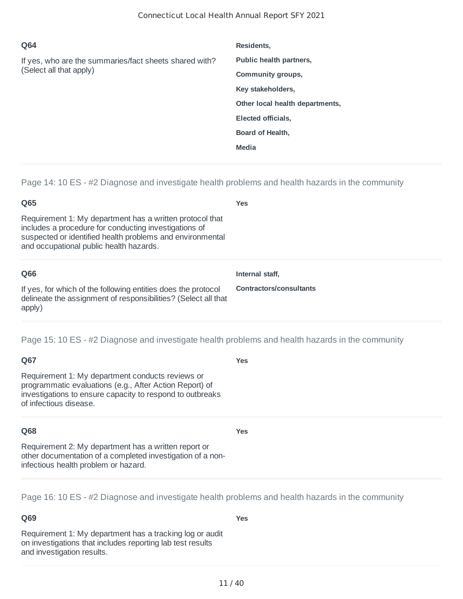| Q64                                                                               | Residents,                      |
|-----------------------------------------------------------------------------------|---------------------------------|
| If yes, who are the summaries/fact sheets shared with?<br>(Select all that apply) | Public health partners,         |
|                                                                                   | Community groups,               |
|                                                                                   | Key stakeholders,               |
|                                                                                   | Other local health departments, |
|                                                                                   | Elected officials,              |
|                                                                                   | <b>Board of Health,</b>         |
|                                                                                   | <b>Media</b>                    |
|                                                                                   |                                 |

Page 14: 10 ES - #2 Diagnose and investigate health problems and health hazards in the community

| Q65                                                                                                                                                                                                                       | <b>Yes</b>                     |
|---------------------------------------------------------------------------------------------------------------------------------------------------------------------------------------------------------------------------|--------------------------------|
| Requirement 1: My department has a written protocol that<br>includes a procedure for conducting investigations of<br>suspected or identified health problems and environmental<br>and occupational public health hazards. |                                |
| Q66                                                                                                                                                                                                                       | Internal staff.                |
| If yes, for which of the following entities does the protocol<br>delineate the assignment of responsibilities? (Select all that<br>apply)                                                                                 | <b>Contractors/consultants</b> |

**Yes**

**Yes**

**Yes**

Page 15: 10 ES - #2 Diagnose and investigate health problems and health hazards in the community

### **Q67**

Requirement 1: My department conducts reviews or programmatic evaluations (e.g., After Action Report) of investigations to ensure capacity to respond to outbreaks of infectious disease.

### **Q68**

Requirement 2: My department has a written report or other documentation of a completed investigation of a noninfectious health problem or hazard.

Page 16: 10 ES - #2 Diagnose and investigate health problems and health hazards in the community

### **Q69**

Requirement 1: My department has a tracking log or audit on investigations that includes reporting lab test results and investigation results.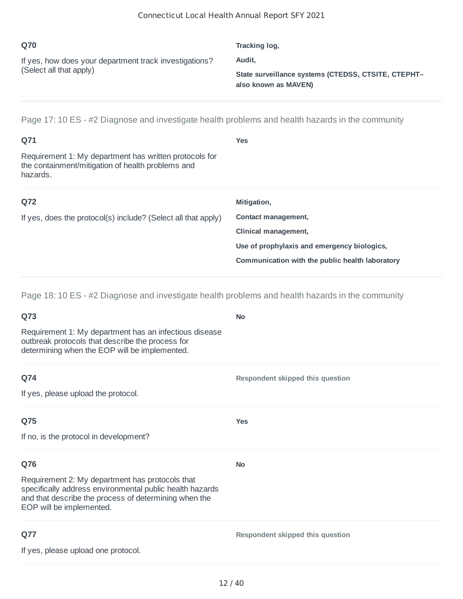| Q70                                                                               | Tracking log,                                                               |
|-----------------------------------------------------------------------------------|-----------------------------------------------------------------------------|
| If yes, how does your department track investigations?<br>(Select all that apply) | Audit.                                                                      |
|                                                                                   | State surveillance systems (CTEDSS, CTSITE, CTEPHT-<br>also known as MAVEN) |

Page 17: 10 ES - #2 Diagnose and investigate health problems and health hazards in the community

| Q71                                                                                                                     | <b>Yes</b>                                      |
|-------------------------------------------------------------------------------------------------------------------------|-------------------------------------------------|
| Requirement 1: My department has written protocols for<br>the containment/mitigation of health problems and<br>hazards. |                                                 |
| Q72                                                                                                                     | Mitigation,                                     |
| If yes, does the protocol(s) include? (Select all that apply)                                                           | Contact management,                             |
|                                                                                                                         | Clinical management,                            |
|                                                                                                                         | Use of prophylaxis and emergency biologics,     |
|                                                                                                                         | Communication with the public health laboratory |
|                                                                                                                         |                                                 |

Page 18: 10 ES - #2 Diagnose and investigate health problems and health hazards in the community

| Q73                                                                                                                                                                                              | <b>No</b>                        |
|--------------------------------------------------------------------------------------------------------------------------------------------------------------------------------------------------|----------------------------------|
| Requirement 1: My department has an infectious disease<br>outbreak protocols that describe the process for<br>determining when the EOP will be implemented.                                      |                                  |
| Q74                                                                                                                                                                                              | Respondent skipped this question |
| If yes, please upload the protocol.                                                                                                                                                              |                                  |
| Q75                                                                                                                                                                                              | <b>Yes</b>                       |
| If no, is the protocol in development?                                                                                                                                                           |                                  |
| Q76                                                                                                                                                                                              | <b>No</b>                        |
| Requirement 2: My department has protocols that<br>specifically address environmental public health hazards<br>and that describe the process of determining when the<br>EOP will be implemented. |                                  |
| Q77                                                                                                                                                                                              | Respondent skipped this question |
| If yes, please upload one protocol.                                                                                                                                                              |                                  |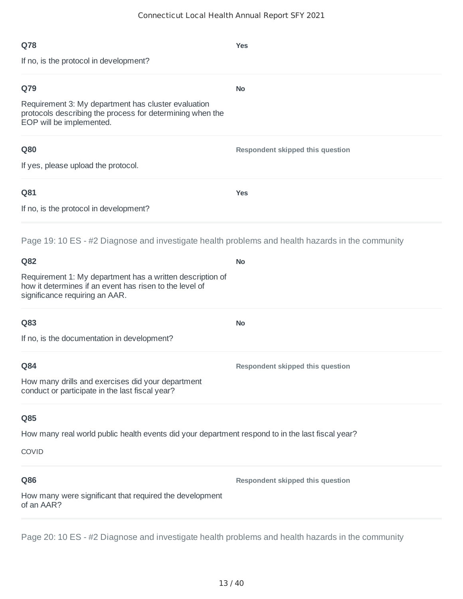| Q78                                                                                                                                                                                                                                                               | <b>Yes</b>                       |
|-------------------------------------------------------------------------------------------------------------------------------------------------------------------------------------------------------------------------------------------------------------------|----------------------------------|
| If no, is the protocol in development?                                                                                                                                                                                                                            |                                  |
| Q79<br>Requirement 3: My department has cluster evaluation<br>protocols describing the process for determining when the<br>EOP will be implemented.                                                                                                               | <b>No</b>                        |
| Q80<br>If yes, please upload the protocol.                                                                                                                                                                                                                        | Respondent skipped this question |
| Q81<br>If no, is the protocol in development?                                                                                                                                                                                                                     | <b>Yes</b>                       |
| Page 19: 10 ES - #2 Diagnose and investigate health problems and health hazards in the community<br>Q82<br>Requirement 1: My department has a written description of<br>how it determines if an event has risen to the level of<br>significance requiring an AAR. | <b>No</b>                        |
| Q83<br>If no, is the documentation in development?                                                                                                                                                                                                                | <b>No</b>                        |
| Q84<br>How many drills and exercises did your department<br>conduct or participate in the last fiscal year?                                                                                                                                                       | Respondent skipped this question |
| Q85<br>How many real world public health events did your department respond to in the last fiscal year?<br><b>COVID</b>                                                                                                                                           |                                  |
| Q86<br>How many were significant that required the development<br>of an AAR?                                                                                                                                                                                      | Respondent skipped this question |
| Page 20: 10 ES - #2 Diagnose and investigate health problems and health hazards in the community                                                                                                                                                                  |                                  |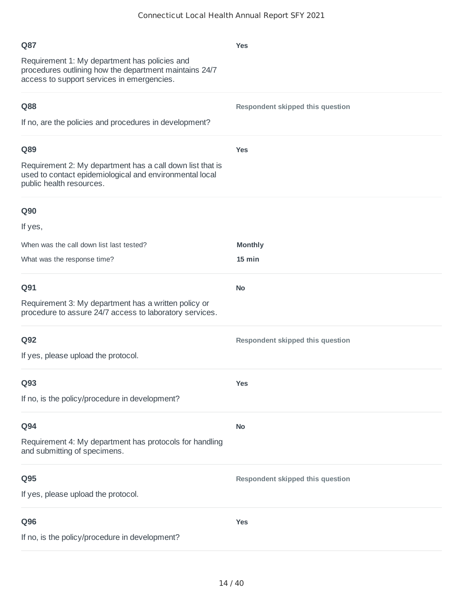| Q87<br>Requirement 1: My department has policies and<br>procedures outlining how the department maintains 24/7<br>access to support services in emergencies. | <b>Yes</b>                       |
|--------------------------------------------------------------------------------------------------------------------------------------------------------------|----------------------------------|
| Q88<br>If no, are the policies and procedures in development?                                                                                                | Respondent skipped this question |
| Q89<br>Requirement 2: My department has a call down list that is<br>used to contact epidemiological and environmental local<br>public health resources.      | <b>Yes</b>                       |
| <b>Q90</b>                                                                                                                                                   |                                  |
| If yes,                                                                                                                                                      |                                  |
| When was the call down list last tested?                                                                                                                     | <b>Monthly</b>                   |
| What was the response time?                                                                                                                                  | 15 min                           |
| Q91                                                                                                                                                          | <b>No</b>                        |
| Requirement 3: My department has a written policy or<br>procedure to assure 24/7 access to laboratory services.                                              |                                  |
| Q92                                                                                                                                                          | Respondent skipped this question |
| If yes, please upload the protocol.                                                                                                                          |                                  |
| Q93                                                                                                                                                          | <b>Yes</b>                       |
| If no, is the policy/procedure in development?                                                                                                               |                                  |
| Q94                                                                                                                                                          | <b>No</b>                        |
| Requirement 4: My department has protocols for handling<br>and submitting of specimens.                                                                      |                                  |
| Q95                                                                                                                                                          | Respondent skipped this question |
| If yes, please upload the protocol.                                                                                                                          |                                  |
| Q96                                                                                                                                                          | <b>Yes</b>                       |
| If no, is the policy/procedure in development?                                                                                                               |                                  |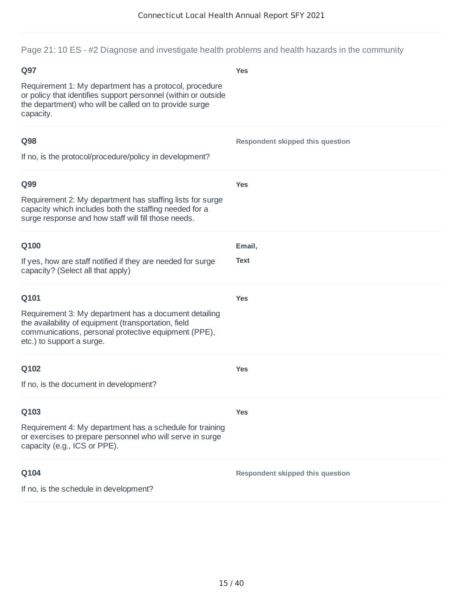Page 21: 10 ES - #2 Diagnose and investigate health problems and health hazards in the community

| Q97                                                                                                                                                                                                | <b>Yes</b>                              |
|----------------------------------------------------------------------------------------------------------------------------------------------------------------------------------------------------|-----------------------------------------|
| Requirement 1: My department has a protocol, procedure<br>or policy that identifies support personnel (within or outside<br>the department) who will be called on to provide surge<br>capacity.    |                                         |
| Q98                                                                                                                                                                                                | Respondent skipped this question        |
| If no, is the protocol/procedure/policy in development?                                                                                                                                            |                                         |
| Q99                                                                                                                                                                                                | <b>Yes</b>                              |
| Requirement 2: My department has staffing lists for surge<br>capacity which includes both the staffing needed for a<br>surge response and how staff will fill those needs.                         |                                         |
| Q100                                                                                                                                                                                               | Email,                                  |
| If yes, how are staff notified if they are needed for surge<br>capacity? (Select all that apply)                                                                                                   | Text                                    |
| Q101                                                                                                                                                                                               | <b>Yes</b>                              |
| Requirement 3: My department has a document detailing<br>the availability of equipment (transportation, field<br>communications, personal protective equipment (PPE),<br>etc.) to support a surge. |                                         |
| Q102                                                                                                                                                                                               | <b>Yes</b>                              |
| If no, is the document in development?                                                                                                                                                             |                                         |
| Q103                                                                                                                                                                                               | <b>Yes</b>                              |
| Requirement 4: My department has a schedule for training<br>or exercises to prepare personnel who will serve in surge<br>capacity (e.g., ICS or PPE).                                              |                                         |
| Q104                                                                                                                                                                                               | <b>Respondent skipped this question</b> |
| If no, is the schedule in development?                                                                                                                                                             |                                         |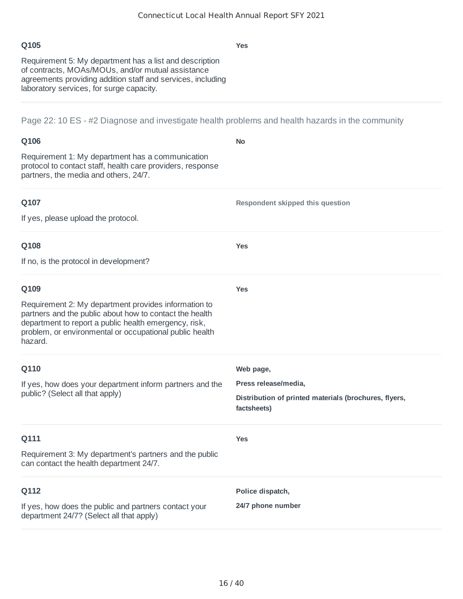| w<br>۰.<br>.,<br>. .<br>×<br>× |
|--------------------------------|
|--------------------------------|

**Yes**

Requirement 5: My department has a list and description of contracts, MOAs/MOUs, and/or mutual assistance agreements providing addition staff and services, including laboratory services, for surge capacity.

Page 22: 10 ES - #2 Diagnose and investigate health problems and health hazards in the community

| Q106                                                                                                                                                                                                                                           | <b>No</b>                                                            |
|------------------------------------------------------------------------------------------------------------------------------------------------------------------------------------------------------------------------------------------------|----------------------------------------------------------------------|
| Requirement 1: My department has a communication<br>protocol to contact staff, health care providers, response<br>partners, the media and others, 24/7.                                                                                        |                                                                      |
| Q107                                                                                                                                                                                                                                           | <b>Respondent skipped this question</b>                              |
| If yes, please upload the protocol.                                                                                                                                                                                                            |                                                                      |
| Q108                                                                                                                                                                                                                                           | <b>Yes</b>                                                           |
| If no, is the protocol in development?                                                                                                                                                                                                         |                                                                      |
| Q109                                                                                                                                                                                                                                           | <b>Yes</b>                                                           |
| Requirement 2: My department provides information to<br>partners and the public about how to contact the health<br>department to report a public health emergency, risk,<br>problem, or environmental or occupational public health<br>hazard. |                                                                      |
| Q110                                                                                                                                                                                                                                           | Web page,                                                            |
| If yes, how does your department inform partners and the<br>public? (Select all that apply)                                                                                                                                                    | Press release/media,                                                 |
|                                                                                                                                                                                                                                                | Distribution of printed materials (brochures, flyers,<br>factsheets) |
| Q111                                                                                                                                                                                                                                           | <b>Yes</b>                                                           |
| Requirement 3: My department's partners and the public<br>can contact the health department 24/7.                                                                                                                                              |                                                                      |
| Q112                                                                                                                                                                                                                                           | Police dispatch,                                                     |
| If yes, how does the public and partners contact your<br>department 24/7? (Select all that apply)                                                                                                                                              | 24/7 phone number                                                    |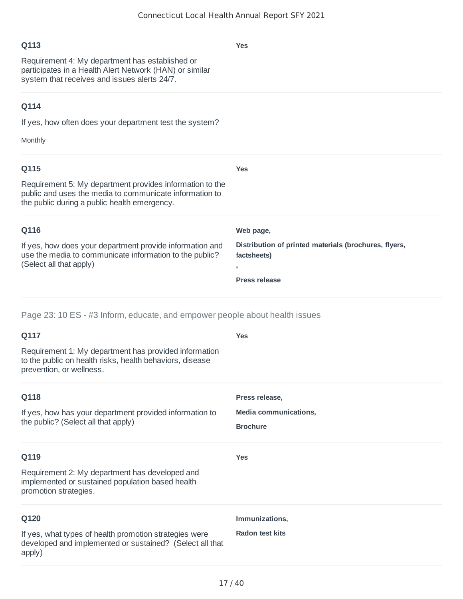**Yes**

# **Q113**

Requirement 4: My department has established or participates in a Health Alert Network (HAN) or similar system that receives and issues alerts 24/7.

# **Q114**

If yes, how often does your department test the system?

Monthly

| Q115                                                                                                                                                                | <b>Yes</b>                                                           |
|---------------------------------------------------------------------------------------------------------------------------------------------------------------------|----------------------------------------------------------------------|
| Requirement 5: My department provides information to the<br>public and uses the media to communicate information to<br>the public during a public health emergency. |                                                                      |
| Q116                                                                                                                                                                | Web page,                                                            |
| If yes, how does your department provide information and<br>use the media to communicate information to the public?<br>(Select all that apply)                      | Distribution of printed materials (brochures, flyers,<br>factsheets) |
|                                                                                                                                                                     |                                                                      |
|                                                                                                                                                                     | <b>Press release</b>                                                 |

# Page 23: 10 ES - #3 Inform, educate, and empower people about health issues

| Yes                    |
|------------------------|
|                        |
| Press release,         |
| Media communications,  |
| <b>Brochure</b>        |
| <b>Yes</b>             |
|                        |
| Immunizations,         |
| <b>Radon test kits</b> |
|                        |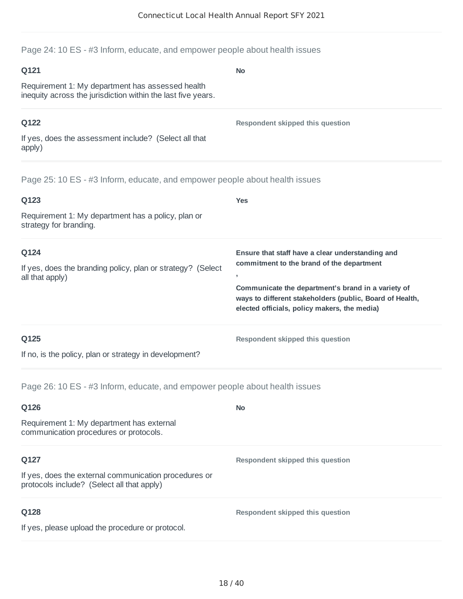**No**

Page 24: 10 ES - #3 Inform, educate, and empower people about health issues

#### **Q121**

Requirement 1: My department has assessed health inequity across the jurisdiction within the last five years.

### **Q122**

**Respondent skipped this question**

If yes, does the assessment include? (Select all that apply)

Page 25: 10 ES - #3 Inform, educate, and empower people about health issues

| Q123                                                                                   | <b>Yes</b>                                                                                                                                                                                                                                                                                  |
|----------------------------------------------------------------------------------------|---------------------------------------------------------------------------------------------------------------------------------------------------------------------------------------------------------------------------------------------------------------------------------------------|
| Requirement 1: My department has a policy, plan or<br>strategy for branding.           |                                                                                                                                                                                                                                                                                             |
| Q124<br>If yes, does the branding policy, plan or strategy? (Select<br>all that apply) | Ensure that staff have a clear understanding and<br>commitment to the brand of the department<br>$\overline{\phantom{a}}$<br>Communicate the department's brand in a variety of<br>ways to different stakeholders (public, Board of Health,<br>elected officials, policy makers, the media) |
| Q125<br>If no, is the policy, plan or strategy in development?                         | Respondent skipped this question                                                                                                                                                                                                                                                            |

Page 26: 10 ES - #3 Inform, educate, and empower people about health issues

| Q126                                                                                                | <b>No</b>                        |
|-----------------------------------------------------------------------------------------------------|----------------------------------|
| Requirement 1: My department has external<br>communication procedures or protocols.                 |                                  |
| Q127                                                                                                | Respondent skipped this question |
| If yes, does the external communication procedures or<br>protocols include? (Select all that apply) |                                  |
| Q128                                                                                                | Respondent skipped this question |
| If yes, please upload the procedure or protocol.                                                    |                                  |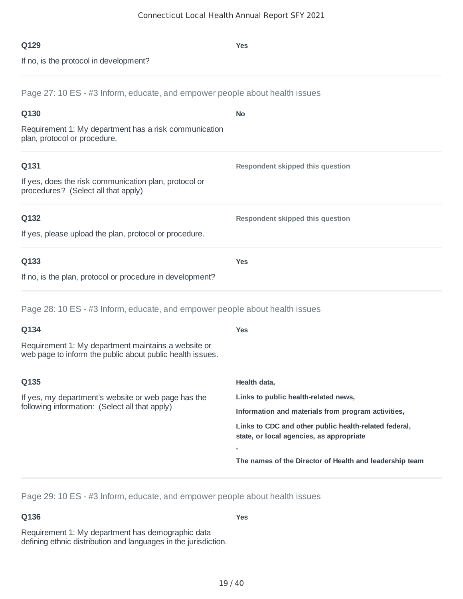**Yes**

If no, is the protocol in development?

Page 27: 10 ES - #3 Inform, educate, and empower people about health issues

| Q130                                                                                                             | <b>No</b>                                               |
|------------------------------------------------------------------------------------------------------------------|---------------------------------------------------------|
| Requirement 1: My department has a risk communication<br>plan, protocol or procedure.                            |                                                         |
| Q131                                                                                                             | <b>Respondent skipped this question</b>                 |
| If yes, does the risk communication plan, protocol or<br>procedures? (Select all that apply)                     |                                                         |
| Q132                                                                                                             | <b>Respondent skipped this question</b>                 |
| If yes, please upload the plan, protocol or procedure.                                                           |                                                         |
| Q133                                                                                                             | <b>Yes</b>                                              |
| If no, is the plan, protocol or procedure in development?                                                        |                                                         |
| Page 28: 10 ES - #3 Inform, educate, and empower people about health issues                                      |                                                         |
| Q134                                                                                                             | <b>Yes</b>                                              |
| Requirement 1: My department maintains a website or<br>web page to inform the public about public health issues. |                                                         |
| Q135                                                                                                             | Health data,                                            |
| If yes, my department's website or web page has the<br>following information: (Select all that apply)            | Links to public health-related news,                    |
|                                                                                                                  | Information and materials from program activities,      |
|                                                                                                                  | Links to CDC and other public health-related federal,   |
|                                                                                                                  | state, or local agencies, as appropriate                |
|                                                                                                                  | The names of the Director of Health and leadership team |

Page 29: 10 ES - #3 Inform, educate, and empower people about health issues

# **Q136**

**Yes**

Requirement 1: My department has demographic data defining ethnic distribution and languages in the jurisdiction.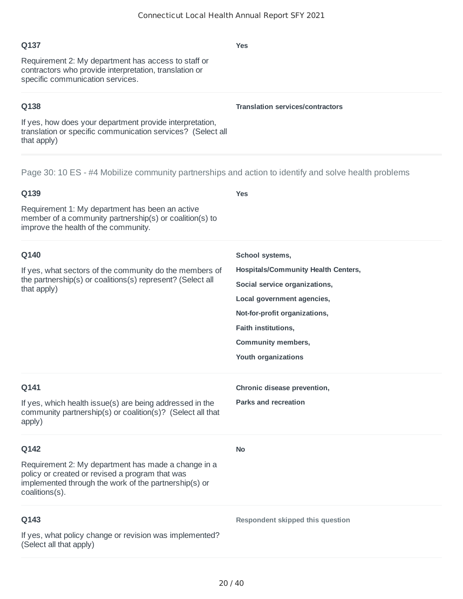### **Q137**

Requirement 2: My department has access to staff or contractors who provide interpretation, translation or specific communication services.

### **Q138**

If yes, how does your department provide interpretation, translation or specific communication services? (Select all that apply)

Page 30: 10 ES - #4 Mobilize community partnerships and action to identify and solve health problems

# **Q139** Requirement 1: My department has been an active member of a community partnership(s) or coalition(s) to improve the health of the community. **Yes Q140** If yes, what sectors of the community do the members of the partnership(s) or coalitions(s) represent? (Select all that apply) **School systems, Hospitals/Community Health Centers, Social service organizations, Local government agencies, Not-for-profit organizations, Faith institutions, Community members, Youth organizations Q141** If yes, which health issue(s) are being addressed in the community partnership(s) or coalition(s)? (Select all that apply) **Chronic disease prevention, Parks and recreation Q142** Requirement 2: My department has made a change in a policy or created or revised a program that was implemented through the work of the partnership(s) or coalitions(s). **No Q143** If yes, what policy change or revision was implemented? (Select all that apply) **Respondent skipped this question**

**Yes**

**Translation services/contractors**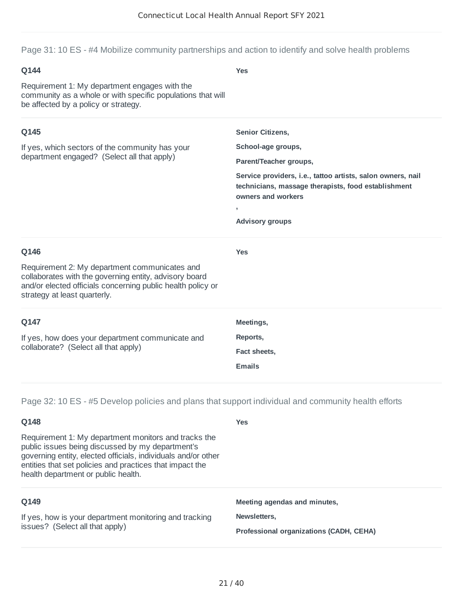Page 31: 10 ES - #4 Mobilize community partnerships and action to identify and solve health problems

# **Q144** Requirement 1: My department engages with the community as a whole or with specific populations that will be affected by a policy or strategy. **Yes Q145** If yes, which sectors of the community has your department engaged? (Select all that apply) **Senior Citizens, School-age groups, Parent/Teacher groups, Service providers, i.e., tattoo artists, salon owners, nail technicians, massage therapists, food establishment owners and workers , Advisory groups Q146** Requirement 2: My department communicates and collaborates with the governing entity, advisory board and/or elected officials concerning public health policy or strategy at least quarterly. **Yes Q147** If yes, how does your department communicate and collaborate? (Select all that apply) **Meetings, Reports, Fact sheets, Emails**

Page 32: 10 ES - #5 Develop policies and plans that support individual and community health efforts

| Q148                                                                                                                                                                                                                                                                         | <b>Yes</b>                              |
|------------------------------------------------------------------------------------------------------------------------------------------------------------------------------------------------------------------------------------------------------------------------------|-----------------------------------------|
| Requirement 1: My department monitors and tracks the<br>public issues being discussed by my department's<br>governing entity, elected officials, individuals and/or other<br>entities that set policies and practices that impact the<br>health department or public health. |                                         |
| Q149                                                                                                                                                                                                                                                                         | Meeting agendas and minutes,            |
| If yes, how is your department monitoring and tracking<br>issues? (Select all that apply)                                                                                                                                                                                    | Newsletters.                            |
|                                                                                                                                                                                                                                                                              | Professional organizations (CADH, CEHA) |
|                                                                                                                                                                                                                                                                              |                                         |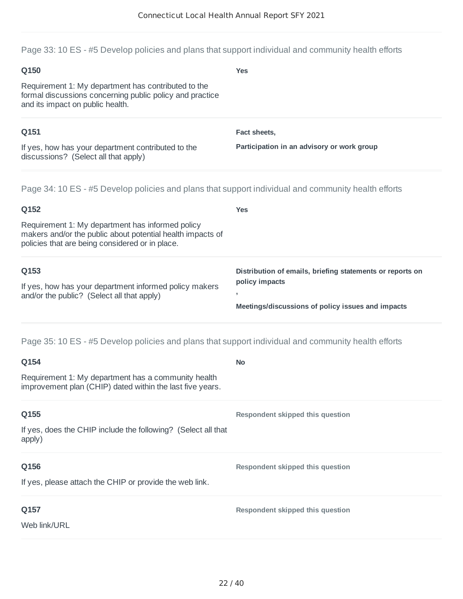Page 33: 10 ES - #5 Develop policies and plans that support individual and community health efforts

| Q150                                                                                                                                                              | <b>Yes</b>                                                |
|-------------------------------------------------------------------------------------------------------------------------------------------------------------------|-----------------------------------------------------------|
| Requirement 1: My department has contributed to the<br>formal discussions concerning public policy and practice<br>and its impact on public health.               |                                                           |
| Q151                                                                                                                                                              | Fact sheets,                                              |
| If yes, how has your department contributed to the<br>discussions? (Select all that apply)                                                                        | Participation in an advisory or work group                |
| Page 34: 10 ES - #5 Develop policies and plans that support individual and community health efforts                                                               |                                                           |
| Q152                                                                                                                                                              | <b>Yes</b>                                                |
| Requirement 1: My department has informed policy<br>makers and/or the public about potential health impacts of<br>policies that are being considered or in place. |                                                           |
| Q153                                                                                                                                                              | Distribution of emails, briefing statements or reports on |
| If yes, how has your department informed policy makers                                                                                                            | policy impacts                                            |
| and/or the public? (Select all that apply)                                                                                                                        | Meetings/discussions of policy issues and impacts         |
| Page 35: 10 ES - #5 Develop policies and plans that support individual and community health efforts                                                               |                                                           |
| Q154                                                                                                                                                              | <b>No</b>                                                 |
| Requirement 1: My department has a community health<br>improvement plan (CHIP) dated within the last five years.                                                  |                                                           |
| Q155                                                                                                                                                              | Respondent skipped this question                          |
| If yes, does the CHIP include the following? (Select all that<br>apply)                                                                                           |                                                           |
| Q156                                                                                                                                                              | Respondent skipped this question                          |
| If yes, please attach the CHIP or provide the web link.                                                                                                           |                                                           |
| Q157                                                                                                                                                              | Respondent skipped this question                          |
| Web link/URL                                                                                                                                                      |                                                           |
|                                                                                                                                                                   |                                                           |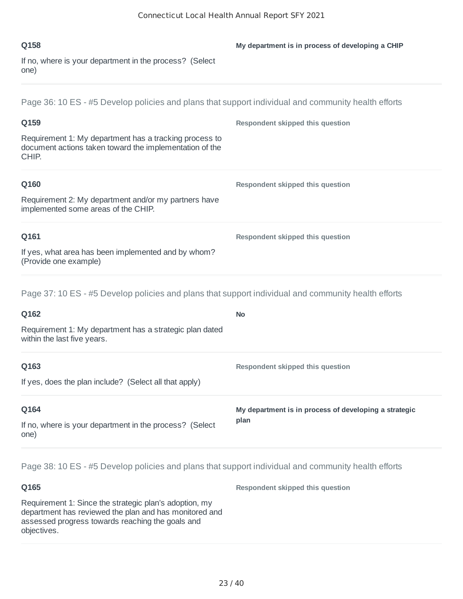| O <sub>158</sub>                                                | My department is in process of developing a CHIP |
|-----------------------------------------------------------------|--------------------------------------------------|
| If no, where is your department in the process? (Select<br>one) |                                                  |

Page 36: 10 ES - #5 Develop policies and plans that support individual and community health efforts

| Q159                                                                                                                       | Respondent skipped this question |
|----------------------------------------------------------------------------------------------------------------------------|----------------------------------|
| Requirement 1: My department has a tracking process to<br>document actions taken toward the implementation of the<br>CHIP. |                                  |
| Q160                                                                                                                       | Respondent skipped this question |
| Requirement 2: My department and/or my partners have<br>implemented some areas of the CHIP.                                |                                  |
| Q161                                                                                                                       | Respondent skipped this question |
| If yes, what area has been implemented and by whom?<br>(Provide one example)                                               |                                  |
|                                                                                                                            |                                  |

Page 37: 10 ES - #5 Develop policies and plans that support individual and community health efforts

| Q162                                                                                   | <b>No</b>                                             |
|----------------------------------------------------------------------------------------|-------------------------------------------------------|
| Requirement 1: My department has a strategic plan dated<br>within the last five years. |                                                       |
| Q163                                                                                   | Respondent skipped this question                      |
| If yes, does the plan include? (Select all that apply)                                 |                                                       |
| Q164                                                                                   | My department is in process of developing a strategic |
| If no, where is your department in the process? (Select<br>one)                        | plan                                                  |

Page 38: 10 ES - #5 Develop policies and plans that support individual and community health efforts

**Q165** Requirement 1: Since the strategic plan's adoption, my department has reviewed the plan and has monitored and assessed progress towards reaching the goals and objectives. **Respondent skipped this question**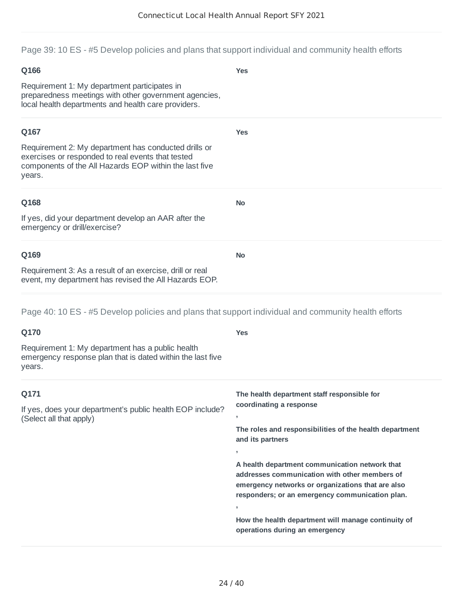Page 39: 10 ES - #5 Develop policies and plans that support individual and community health efforts

# **Q166** Requirement 1: My department participates in preparedness meetings with other government agencies, local health departments and health care providers. **Yes Q167** Requirement 2: My department has conducted drills or exercises or responded to real events that tested components of the All Hazards EOP within the last five years. **Yes Q168** If yes, did your department develop an AAR after the emergency or drill/exercise? **No Q169** Requirement 3: As a result of an exercise, drill or real event, my department has revised the All Hazards EOP. **No**

Page 40: 10 ES - #5 Develop policies and plans that support individual and community health efforts

| Q170                                                                                                                     | <b>Yes</b>                                                                                                                                                                                              |
|--------------------------------------------------------------------------------------------------------------------------|---------------------------------------------------------------------------------------------------------------------------------------------------------------------------------------------------------|
| Requirement 1: My department has a public health<br>emergency response plan that is dated within the last five<br>years. |                                                                                                                                                                                                         |
| Q171                                                                                                                     | The health department staff responsible for                                                                                                                                                             |
| If yes, does your department's public health EOP include?<br>(Select all that apply)                                     | coordinating a response<br>-                                                                                                                                                                            |
|                                                                                                                          | The roles and responsibilities of the health department<br>and its partners                                                                                                                             |
|                                                                                                                          | л.                                                                                                                                                                                                      |
|                                                                                                                          | A health department communication network that<br>addresses communication with other members of<br>emergency networks or organizations that are also<br>responders; or an emergency communication plan. |
|                                                                                                                          | $\overline{\phantom{a}}$                                                                                                                                                                                |
|                                                                                                                          | How the health department will manage continuity of<br>operations during an emergency                                                                                                                   |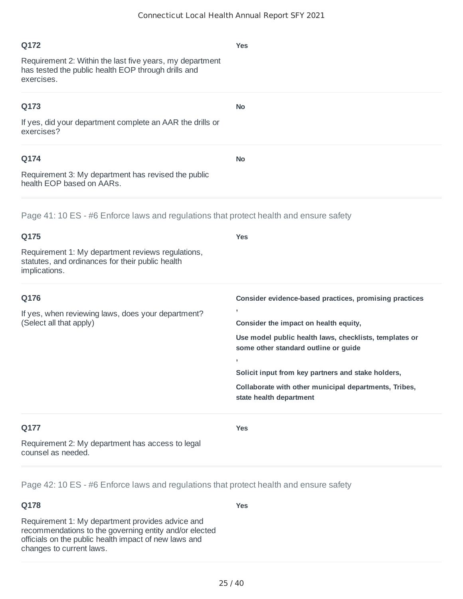# **Q172** Requirement 2: Within the last five years, my department has tested the public health EOP through drills and exercises. **Yes Q173** If yes, did your department complete an AAR the drills or exercises? **No Q174** Requirement 3: My department has revised the public health EOP based on AARs. **No**

### Page 41: 10 ES - #6 Enforce laws and regulations that protect health and ensure safety

| Q175                                                                                                                   | <b>Yes</b>                                                                                     |
|------------------------------------------------------------------------------------------------------------------------|------------------------------------------------------------------------------------------------|
| Requirement 1: My department reviews regulations,<br>statutes, and ordinances for their public health<br>implications. |                                                                                                |
| Q176                                                                                                                   | Consider evidence-based practices, promising practices                                         |
| If yes, when reviewing laws, does your department?<br>(Select all that apply)                                          | $\overline{ }$                                                                                 |
|                                                                                                                        | Consider the impact on health equity,                                                          |
|                                                                                                                        | Use model public health laws, checklists, templates or<br>some other standard outline or guide |
|                                                                                                                        | $\overline{ }$                                                                                 |
|                                                                                                                        | Solicit input from key partners and stake holders,                                             |
|                                                                                                                        | Collaborate with other municipal departments, Tribes,<br>state health department               |
| Q177                                                                                                                   | <b>Yes</b>                                                                                     |

Requirement 2: My department has access to legal counsel as needed.

Page 42: 10 ES - #6 Enforce laws and regulations that protect health and ensure safety

#### **Q178**

Requirement 1: My department provides advice and recommendations to the governing entity and/or elected officials on the public health impact of new laws and changes to current laws.

**Yes**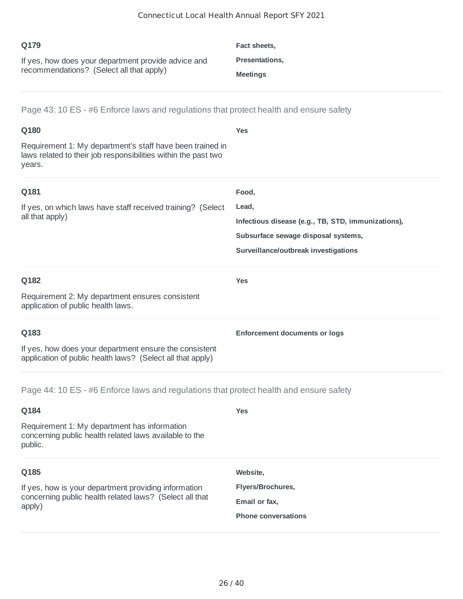| O179                                                | Fact sheets,          |
|-----------------------------------------------------|-----------------------|
| If yes, how does your department provide advice and | <b>Presentations,</b> |
| recommendations? (Select all that apply)            | <b>Meetings</b>       |

Page 43: 10 ES - #6 Enforce laws and regulations that protect health and ensure safety

| Q180                                                                                                                                  | <b>Yes</b>                                         |
|---------------------------------------------------------------------------------------------------------------------------------------|----------------------------------------------------|
| Requirement 1: My department's staff have been trained in<br>laws related to their job responsibilities within the past two<br>years. |                                                    |
| Q181                                                                                                                                  | Food,                                              |
| If yes, on which laws have staff received training? (Select                                                                           | Lead,                                              |
| all that apply)                                                                                                                       | Infectious disease (e.g., TB, STD, immunizations), |
|                                                                                                                                       | Subsurface sewage disposal systems,                |
|                                                                                                                                       | Surveillance/outbreak investigations               |
| Q182                                                                                                                                  | <b>Yes</b>                                         |
| Requirement 2: My department ensures consistent<br>application of public health laws.                                                 |                                                    |
| Q183                                                                                                                                  | <b>Enforcement documents or logs</b>               |
| If yes, how does your department ensure the consistent<br>application of public health laws? (Select all that apply)                  |                                                    |

Page 44: 10 ES - #6 Enforce laws and regulations that protect health and ensure safety

| Q184                                                                                                                      | <b>Yes</b>                 |
|---------------------------------------------------------------------------------------------------------------------------|----------------------------|
| Requirement 1: My department has information<br>concerning public health related laws available to the<br>public.         |                            |
| Q185                                                                                                                      | Website.                   |
| If yes, how is your department providing information<br>concerning public health related laws? (Select all that<br>apply) | <b>Flyers/Brochures,</b>   |
|                                                                                                                           | Email or fax,              |
|                                                                                                                           | <b>Phone conversations</b> |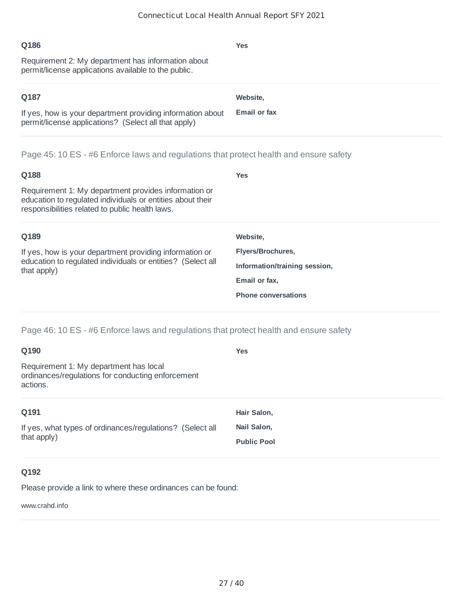| Q186<br>Requirement 2: My department has information about<br>permit/license applications available to the public.                                                    | <b>Yes</b>          |  |
|-----------------------------------------------------------------------------------------------------------------------------------------------------------------------|---------------------|--|
| Q187                                                                                                                                                                  | Website,            |  |
| If yes, how is your department providing information about<br>permit/license applications? (Select all that apply)                                                    | <b>Email or fax</b> |  |
| Page 45: 10 ES - #6 Enforce laws and regulations that protect health and ensure safety                                                                                |                     |  |
| Q188                                                                                                                                                                  | <b>Yes</b>          |  |
| Requirement 1: My department provides information or<br>education to regulated individuals or entities about their<br>responsibilities related to public health laws. |                     |  |

| Q189                                                                                                                                  | Website,                      |
|---------------------------------------------------------------------------------------------------------------------------------------|-------------------------------|
| If yes, how is your department providing information or<br>education to regulated individuals or entities? (Select all<br>that apply) | Flyers/Brochures,             |
|                                                                                                                                       | Information/training session, |
|                                                                                                                                       | Email or fax,                 |
|                                                                                                                                       | <b>Phone conversations</b>    |
|                                                                                                                                       |                               |

Page 46: 10 ES - #6 Enforce laws and regulations that protect health and ensure safety

| Q190                                                                                                    | <b>Yes</b>         |
|---------------------------------------------------------------------------------------------------------|--------------------|
| Requirement 1: My department has local<br>ordinances/regulations for conducting enforcement<br>actions. |                    |
| Q191                                                                                                    | Hair Salon,        |
| If yes, what types of ordinances/regulations? (Select all                                               | Nail Salon,        |
| that apply)                                                                                             | <b>Public Pool</b> |
|                                                                                                         |                    |

# **Q192**

Please provide a link to where these ordinances can be found:

www.crahd.info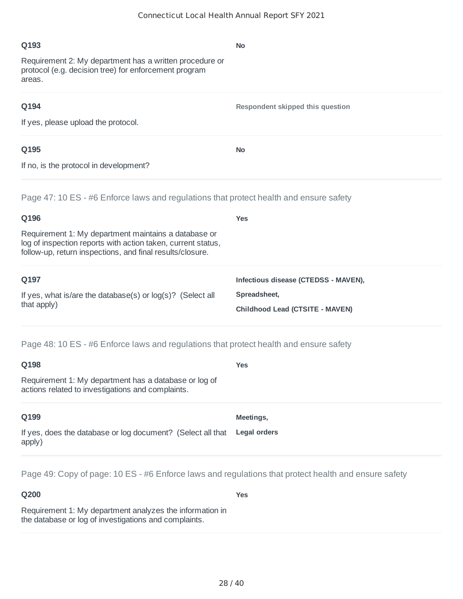**No**

#### **Q193**

Requirement 2: My department has a written procedure or protocol (e.g. decision tree) for enforcement program areas.

#### **Q194**

**Respondent skipped this question**

If yes, please upload the protocol.

### **Q195**

**No**

If no, is the protocol in development?

Page 47: 10 ES - #6 Enforce laws and regulations that protect health and ensure safety

| Q196                                                                                                                                                                              | <b>Yes</b>                           |
|-----------------------------------------------------------------------------------------------------------------------------------------------------------------------------------|--------------------------------------|
| Requirement 1: My department maintains a database or<br>log of inspection reports with action taken, current status,<br>follow-up, return inspections, and final results/closure. |                                      |
| Q197                                                                                                                                                                              | Infectious disease (CTEDSS - MAVEN), |
| If yes, what is/are the database(s) or $log(s)$ ? (Select all<br>that apply)                                                                                                      | Spreadsheet,                         |
|                                                                                                                                                                                   | Childhood Lead (CTSITE - MAVEN)      |
| Page 48: 10 ES - #6 Enforce laws and regulations that protect health and ensure safety                                                                                            |                                      |

| Q198                                                                                                       | Yes                 |
|------------------------------------------------------------------------------------------------------------|---------------------|
| Requirement 1: My department has a database or log of<br>actions related to investigations and complaints. |                     |
| Q199                                                                                                       | Meetings,           |
| If yes, does the database or log document? (Select all that<br>apply)                                      | <b>Legal orders</b> |

Page 49: Copy of page: 10 ES - #6 Enforce laws and regulations that protect health and ensure safety

### **Q200**

**Yes**

Requirement 1: My department analyzes the information in the database or log of investigations and complaints.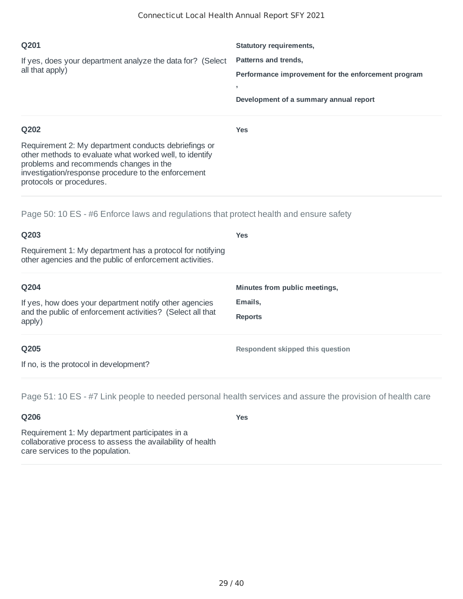| Q201                                                                                                                                                                                                                                         | <b>Statutory requirements,</b>                           |
|----------------------------------------------------------------------------------------------------------------------------------------------------------------------------------------------------------------------------------------------|----------------------------------------------------------|
| If yes, does your department analyze the data for? (Select<br>all that apply)                                                                                                                                                                | Patterns and trends,                                     |
|                                                                                                                                                                                                                                              | Performance improvement for the enforcement program<br>л |
|                                                                                                                                                                                                                                              | Development of a summary annual report                   |
| Q202                                                                                                                                                                                                                                         | <b>Yes</b>                                               |
| Requirement 2: My department conducts debriefings or<br>other methods to evaluate what worked well, to identify<br>problems and recommends changes in the<br>investigation/response procedure to the enforcement<br>protocols or procedures. |                                                          |

Page 50: 10 ES - #6 Enforce laws and regulations that protect health and ensure safety

| Q203                                                                                                                           | <b>Yes</b>                    |
|--------------------------------------------------------------------------------------------------------------------------------|-------------------------------|
| Requirement 1: My department has a protocol for notifying<br>other agencies and the public of enforcement activities.          |                               |
| Q204                                                                                                                           | Minutes from public meetings, |
| If yes, how does your department notify other agencies<br>and the public of enforcement activities? (Select all that<br>apply) | Emails,                       |
|                                                                                                                                | <b>Reports</b>                |
|                                                                                                                                |                               |

#### **Q205**

**Respondent skipped this question**

If no, is the protocol in development?

Page 51: 10 ES - #7 Link people to needed personal health services and assure the provision of health care

# **Q206**

**Yes**

Requirement 1: My department participates in a collaborative process to assess the availability of health care services to the population.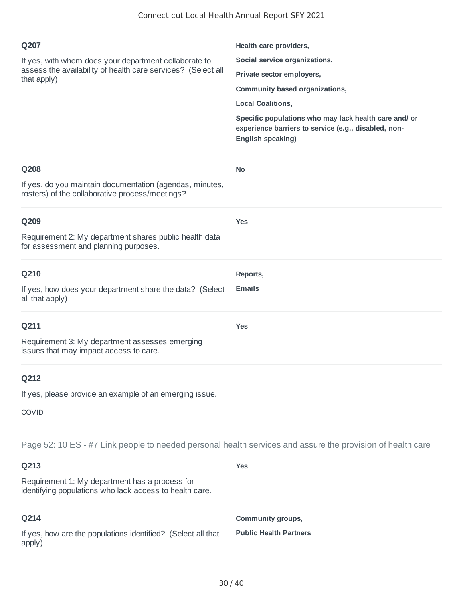| Q207<br>If yes, with whom does your department collaborate to<br>assess the availability of health care services? (Select all<br>that apply)                                                                                    | Health care providers,<br>Social service organizations,<br>Private sector employers,<br>Community based organizations,<br><b>Local Coalitions,</b><br>Specific populations who may lack health care and/ or<br>experience barriers to service (e.g., disabled, non-<br>English speaking) |
|---------------------------------------------------------------------------------------------------------------------------------------------------------------------------------------------------------------------------------|------------------------------------------------------------------------------------------------------------------------------------------------------------------------------------------------------------------------------------------------------------------------------------------|
| Q208<br>If yes, do you maintain documentation (agendas, minutes,<br>rosters) of the collaborative process/meetings?                                                                                                             | <b>No</b>                                                                                                                                                                                                                                                                                |
| Q209<br>Requirement 2: My department shares public health data<br>for assessment and planning purposes.                                                                                                                         | <b>Yes</b>                                                                                                                                                                                                                                                                               |
| Q210<br>If yes, how does your department share the data? (Select<br>all that apply)                                                                                                                                             | Reports,<br><b>Emails</b>                                                                                                                                                                                                                                                                |
| Q211<br>Requirement 3: My department assesses emerging<br>issues that may impact access to care.                                                                                                                                | <b>Yes</b>                                                                                                                                                                                                                                                                               |
| Q212<br>If yes, please provide an example of an emerging issue.<br><b>COVID</b>                                                                                                                                                 |                                                                                                                                                                                                                                                                                          |
| Page 52: 10 ES - #7 Link people to needed personal health services and assure the provision of health care<br>Q213<br>Requirement 1: My department has a process for<br>identifying populations who lack access to health care. | <b>Yes</b>                                                                                                                                                                                                                                                                               |

| Q214                                                                   | <b>Community groups,</b>      |
|------------------------------------------------------------------------|-------------------------------|
| If yes, how are the populations identified? (Select all that<br>apply) | <b>Public Health Partners</b> |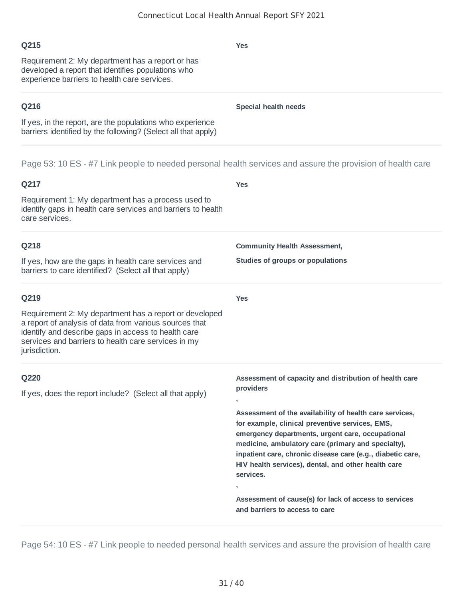## **Q215**

Requirement 2: My department has a report or has developed a report that identifies populations who experience barriers to health care services.

## **Q216**

If yes, in the report, are the populations who experience barriers identified by the following? (Select all that apply)

Page 53: 10 ES - #7 Link people to needed personal health services and assure the provision of health care

| Q217                                                                                                                                                                                                                                                    | <b>Yes</b>                                                                                                                                                                                                                                                                                                                                                                                                                                                                                                               |
|---------------------------------------------------------------------------------------------------------------------------------------------------------------------------------------------------------------------------------------------------------|--------------------------------------------------------------------------------------------------------------------------------------------------------------------------------------------------------------------------------------------------------------------------------------------------------------------------------------------------------------------------------------------------------------------------------------------------------------------------------------------------------------------------|
| Requirement 1: My department has a process used to<br>identify gaps in health care services and barriers to health<br>care services.                                                                                                                    |                                                                                                                                                                                                                                                                                                                                                                                                                                                                                                                          |
| Q218<br>If yes, how are the gaps in health care services and<br>barriers to care identified? (Select all that apply)                                                                                                                                    | <b>Community Health Assessment,</b><br>Studies of groups or populations                                                                                                                                                                                                                                                                                                                                                                                                                                                  |
| Q219<br>Requirement 2: My department has a report or developed<br>a report of analysis of data from various sources that<br>identify and describe gaps in access to health care<br>services and barriers to health care services in my<br>jurisdiction. | <b>Yes</b>                                                                                                                                                                                                                                                                                                                                                                                                                                                                                                               |
| Q220<br>If yes, does the report include? (Select all that apply)                                                                                                                                                                                        | Assessment of capacity and distribution of health care<br>providers<br>Assessment of the availability of health care services,<br>for example, clinical preventive services, EMS,<br>emergency departments, urgent care, occupational<br>medicine, ambulatory care (primary and specialty),<br>inpatient care, chronic disease care (e.g., diabetic care,<br>HIV health services), dental, and other health care<br>services.<br>Assessment of cause(s) for lack of access to services<br>and barriers to access to care |

Page 54: 10 ES - #7 Link people to needed personal health services and assure the provision of health care

**Special health needs**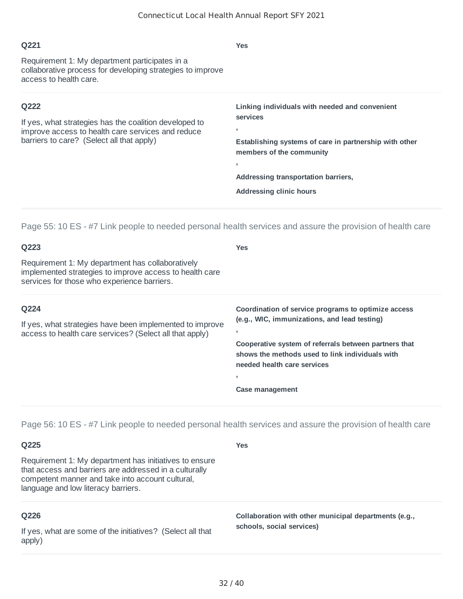| Q221                                                                                                                                                             | <b>Yes</b>                                                                                                                                                                                                                            |
|------------------------------------------------------------------------------------------------------------------------------------------------------------------|---------------------------------------------------------------------------------------------------------------------------------------------------------------------------------------------------------------------------------------|
| Requirement 1: My department participates in a<br>collaborative process for developing strategies to improve<br>access to health care.                           |                                                                                                                                                                                                                                       |
| Q222<br>If yes, what strategies has the coalition developed to<br>improve access to health care services and reduce<br>barriers to care? (Select all that apply) | Linking individuals with needed and convenient<br>services<br>л,<br>Establishing systems of care in partnership with other<br>members of the community<br>л,<br>Addressing transportation barriers,<br><b>Addressing clinic hours</b> |

Page 55: 10 ES - #7 Link people to needed personal health services and assure the provision of health care

| Q223                                                                                                                                                       | <b>Yes</b>                                                                                                                              |
|------------------------------------------------------------------------------------------------------------------------------------------------------------|-----------------------------------------------------------------------------------------------------------------------------------------|
| Requirement 1: My department has collaboratively<br>implemented strategies to improve access to health care<br>services for those who experience barriers. |                                                                                                                                         |
| Q224                                                                                                                                                       | Coordination of service programs to optimize access                                                                                     |
| If yes, what strategies have been implemented to improve<br>access to health care services? (Select all that apply)                                        | (e.g., WIC, immunizations, and lead testing)                                                                                            |
|                                                                                                                                                            | Cooperative system of referrals between partners that<br>shows the methods used to link individuals with<br>needed health care services |
|                                                                                                                                                            | ٠                                                                                                                                       |
|                                                                                                                                                            | Case management                                                                                                                         |

Page 56: 10 ES - #7 Link people to needed personal health services and assure the provision of health care

| Q225                                                                                                                                                                                                        | Yes                                                                                |
|-------------------------------------------------------------------------------------------------------------------------------------------------------------------------------------------------------------|------------------------------------------------------------------------------------|
| Requirement 1: My department has initiatives to ensure<br>that access and barriers are addressed in a culturally<br>competent manner and take into account cultural,<br>language and low literacy barriers. |                                                                                    |
| Q226<br>If yes, what are some of the initiatives? (Select all that<br>apply)                                                                                                                                | Collaboration with other municipal departments (e.g.,<br>schools, social services) |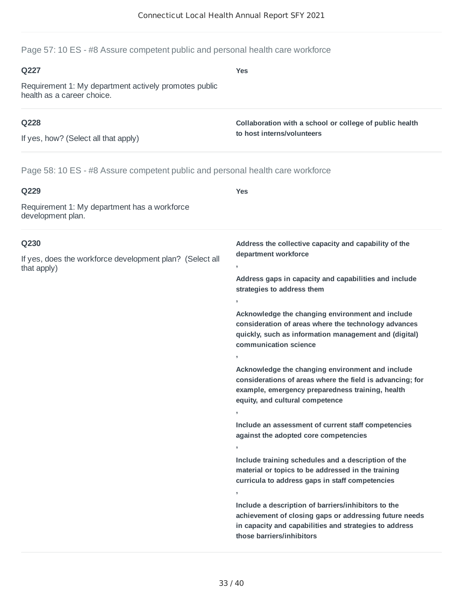**Yes**

### Page 57: 10 ES - #8 Assure competent public and personal health care workforce

#### **Q227**

Requirement 1: My department actively promotes public health as a career choice.

### **Q228**

If yes, how? (Select all that apply)

**Collaboration with a school or college of public health to host interns/volunteers**

Page 58: 10 ES - #8 Assure competent public and personal health care workforce

| Q229                                                                    | <b>Yes</b>                                                                                                                                                                                           |  |
|-------------------------------------------------------------------------|------------------------------------------------------------------------------------------------------------------------------------------------------------------------------------------------------|--|
| Requirement 1: My department has a workforce<br>development plan.       |                                                                                                                                                                                                      |  |
| Q230                                                                    | Address the collective capacity and capability of the<br>department workforce                                                                                                                        |  |
| If yes, does the workforce development plan? (Select all<br>that apply) | $\mathbf{r}$                                                                                                                                                                                         |  |
|                                                                         | Address gaps in capacity and capabilities and include<br>strategies to address them                                                                                                                  |  |
|                                                                         |                                                                                                                                                                                                      |  |
|                                                                         | Acknowledge the changing environment and include<br>consideration of areas where the technology advances<br>quickly, such as information management and (digital)<br>communication science           |  |
|                                                                         |                                                                                                                                                                                                      |  |
|                                                                         | Acknowledge the changing environment and include<br>considerations of areas where the field is advancing; for<br>example, emergency preparedness training, health<br>equity, and cultural competence |  |
|                                                                         |                                                                                                                                                                                                      |  |
|                                                                         | Include an assessment of current staff competencies<br>against the adopted core competencies                                                                                                         |  |
|                                                                         |                                                                                                                                                                                                      |  |
|                                                                         | Include training schedules and a description of the<br>material or topics to be addressed in the training<br>curricula to address gaps in staff competencies<br>$\mathbf{I}$                         |  |
|                                                                         | Include a description of barriers/inhibitors to the<br>achievement of closing gaps or addressing future needs<br>in capacity and capabilities and strategies to address<br>those barriers/inhibitors |  |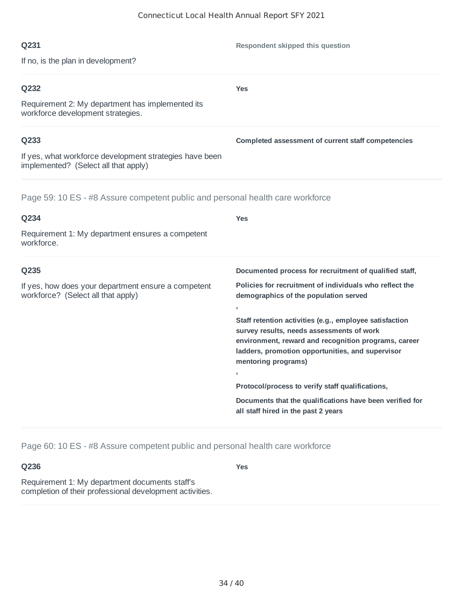**Yes**

**Respondent skipped this question**

**Completed assessment of current staff competencies**

#### **Q231**

If no, is the plan in development?

### **Q232**

Requirement 2: My department has implemented its workforce development strategies.

### **Q233**

If yes, what workforce development strategies have been implemented? (Select all that apply)

Page 59: 10 ES - #8 Assure competent public and personal health care workforce

| Q234                                                                                      | Yes                                                                                                                                                                                                                                     |
|-------------------------------------------------------------------------------------------|-----------------------------------------------------------------------------------------------------------------------------------------------------------------------------------------------------------------------------------------|
| Requirement 1: My department ensures a competent<br>workforce.                            |                                                                                                                                                                                                                                         |
| Q235                                                                                      | Documented process for recruitment of qualified staff,                                                                                                                                                                                  |
| If yes, how does your department ensure a competent<br>workforce? (Select all that apply) | Policies for recruitment of individuals who reflect the<br>demographics of the population served                                                                                                                                        |
|                                                                                           | л.                                                                                                                                                                                                                                      |
|                                                                                           | Staff retention activities (e.g., employee satisfaction<br>survey results, needs assessments of work<br>environment, reward and recognition programs, career<br>ladders, promotion opportunities, and supervisor<br>mentoring programs) |
|                                                                                           | $\mathbf{r}$                                                                                                                                                                                                                            |
|                                                                                           | Protocol/process to verify staff qualifications,                                                                                                                                                                                        |
|                                                                                           | Documents that the qualifications have been verified for<br>all staff hired in the past 2 years                                                                                                                                         |

Page 60: 10 ES - #8 Assure competent public and personal health care workforce

**Q236**

**Yes**

Requirement 1: My department documents staff's completion of their professional development activities.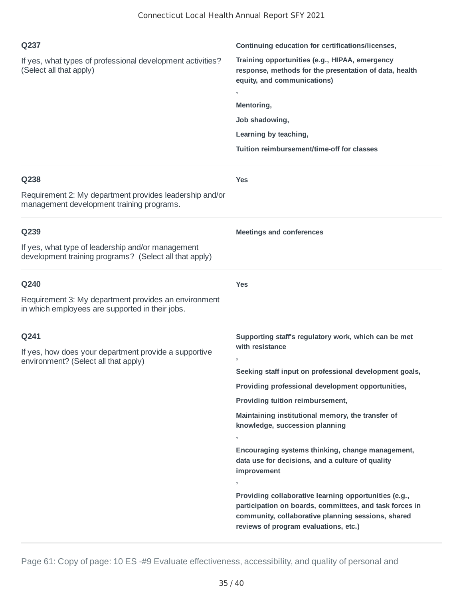| Q237<br>If yes, what types of professional development activities?<br>(Select all that apply)                       | Continuing education for certifications/licenses,<br>Training opportunities (e.g., HIPAA, emergency<br>response, methods for the presentation of data, health<br>equity, and communications)<br>э.<br>Mentoring,<br>Job shadowing,<br>Learning by teaching,<br>Tuition reimbursement/time-off for classes                                                                                                                                                                                                                                                                                                                                                                         |
|---------------------------------------------------------------------------------------------------------------------|-----------------------------------------------------------------------------------------------------------------------------------------------------------------------------------------------------------------------------------------------------------------------------------------------------------------------------------------------------------------------------------------------------------------------------------------------------------------------------------------------------------------------------------------------------------------------------------------------------------------------------------------------------------------------------------|
| Q238<br>Requirement 2: My department provides leadership and/or<br>management development training programs.        | <b>Yes</b>                                                                                                                                                                                                                                                                                                                                                                                                                                                                                                                                                                                                                                                                        |
| Q239<br>If yes, what type of leadership and/or management<br>development training programs? (Select all that apply) | <b>Meetings and conferences</b>                                                                                                                                                                                                                                                                                                                                                                                                                                                                                                                                                                                                                                                   |
| Q240<br>Requirement 3: My department provides an environment<br>in which employees are supported in their jobs.     | <b>Yes</b>                                                                                                                                                                                                                                                                                                                                                                                                                                                                                                                                                                                                                                                                        |
| Q241<br>If yes, how does your department provide a supportive<br>environment? (Select all that apply)               | Supporting staff's regulatory work, which can be met<br>with resistance<br>Seeking staff input on professional development goals,<br>Providing professional development opportunities,<br>Providing tuition reimbursement,<br>Maintaining institutional memory, the transfer of<br>knowledge, succession planning<br>$\mathbf{I}$<br>Encouraging systems thinking, change management,<br>data use for decisions, and a culture of quality<br>improvement<br>э.<br>Providing collaborative learning opportunities (e.g.,<br>participation on boards, committees, and task forces in<br>community, collaborative planning sessions, shared<br>reviews of program evaluations, etc.) |

Page 61: Copy of page: 10 ES -#9 Evaluate effectiveness, accessibility, and quality of personal and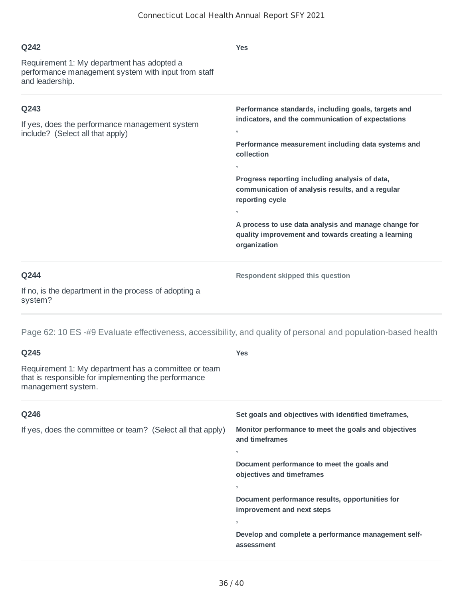#### **Q242** Requirement 1: My department has adopted a performance management system with input from staff and leadership. **Yes Q243** If yes, does the performance management system include? (Select all that apply) **Performance standards, including goals, targets and indicators, and the communication of expectations , Performance measurement including data systems and collection , Progress reporting including analysis of data, communication of analysis results, and a regular reporting cycle ,**

**A process to use data analysis and manage change for quality improvement and towards creating a learning organization**

#### **Q244**

**Respondent skipped this question**

If no, is the department in the process of adopting a system?

Page 62: 10 ES -#9 Evaluate effectiveness, accessibility, and quality of personal and population-based health

| Q245                                                                                                                               | <b>Yes</b>                                                                    |
|------------------------------------------------------------------------------------------------------------------------------------|-------------------------------------------------------------------------------|
| Requirement 1: My department has a committee or team<br>that is responsible for implementing the performance<br>management system. |                                                                               |
| Q246                                                                                                                               | Set goals and objectives with identified timeframes,                          |
| If yes, does the committee or team? (Select all that apply)                                                                        | Monitor performance to meet the goals and objectives<br>and timeframes        |
|                                                                                                                                    | $\overline{1}$                                                                |
|                                                                                                                                    | Document performance to meet the goals and<br>objectives and timeframes       |
|                                                                                                                                    | э.                                                                            |
|                                                                                                                                    | Document performance results, opportunities for<br>improvement and next steps |
|                                                                                                                                    | $\overline{1}$                                                                |
|                                                                                                                                    | Develop and complete a performance management self-<br>assessment             |
|                                                                                                                                    |                                                                               |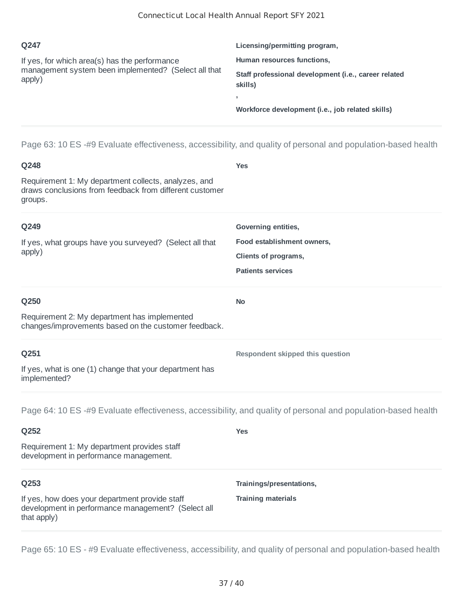| O <sub>247</sub>                                                                                                | Licensing/permitting program,                                   |
|-----------------------------------------------------------------------------------------------------------------|-----------------------------------------------------------------|
| If yes, for which area(s) has the performance<br>management system been implemented? (Select all that<br>apply) | Human resources functions,                                      |
|                                                                                                                 | Staff professional development (i.e., career related<br>skills) |
|                                                                                                                 |                                                                 |
|                                                                                                                 | Workforce development (i.e., job related skills)                |

Page 63: 10 ES -#9 Evaluate effectiveness, accessibility, and quality of personal and population-based health

| Q248                                                                                                                       | <b>Yes</b>                       |
|----------------------------------------------------------------------------------------------------------------------------|----------------------------------|
| Requirement 1: My department collects, analyzes, and<br>draws conclusions from feedback from different customer<br>groups. |                                  |
| Q249                                                                                                                       | Governing entities,              |
| If yes, what groups have you surveyed? (Select all that                                                                    | Food establishment owners,       |
| apply)                                                                                                                     | Clients of programs,             |
|                                                                                                                            | <b>Patients services</b>         |
| Q250                                                                                                                       | <b>No</b>                        |
| Requirement 2: My department has implemented<br>changes/improvements based on the customer feedback.                       |                                  |
| Q251                                                                                                                       | Respondent skipped this question |
| If yes, what is one (1) change that your department has<br>implemented?                                                    |                                  |
| Page 64: 10 ES -#9 Evaluate effectiveness, accessibility, and quality of personal and population-based health              |                                  |
| Q252                                                                                                                       | <b>Yes</b>                       |
| Requirement 1: My department provides staff<br>development in performance management.                                      |                                  |
| Q253                                                                                                                       | Trainings/presentations,         |
| If yes, how does your department provide staff<br>development in performance management? (Select all<br>that apply)        | <b>Training materials</b>        |

Page 65: 10 ES - #9 Evaluate effectiveness, accessibility, and quality of personal and population-based health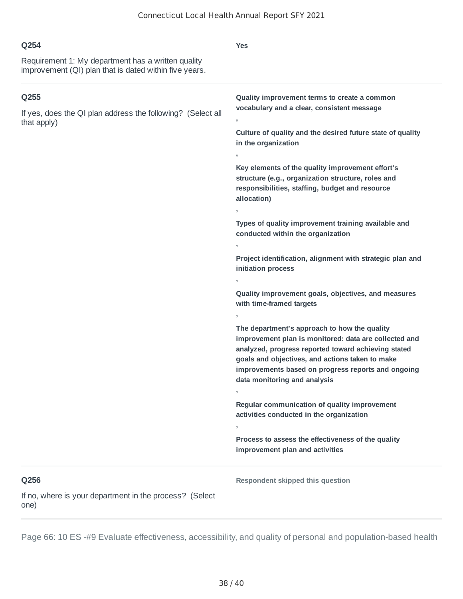| O <sub>254</sub>                                                                                             | Yes                                          |
|--------------------------------------------------------------------------------------------------------------|----------------------------------------------|
| Requirement 1: My department has a written quality<br>improvement (QI) plan that is dated within five years. |                                              |
| Q255                                                                                                         | Quality improvement terms to create a common |

**,**

**in the organization**

**vocabulary and a clear, consistent message**

**Culture of quality and the desired future state of quality**

# **, Key elements of the quality improvement effort's structure (e.g., organization structure, roles and responsibilities, staffing, budget and resource allocation) , Types of quality improvement training available and conducted within the organization , Project identification, alignment with strategic plan and initiation process , Quality improvement goals, objectives, and measures with time-framed targets , The department's approach to how the quality improvement plan is monitored: data are collected and analyzed, progress reported toward achieving stated goals and objectives, and actions taken to make improvements based on progress reports and ongoing data monitoring and analysis , Regular communication of quality improvement activities conducted in the organization , Process to assess the effectiveness of the quality improvement plan and activities Q256 Respondent skipped this question**

If no, where is your department in the process? (Select one)

If yes, does the QI plan address the following? (Select all

that apply)

Page 66: 10 ES -#9 Evaluate effectiveness, accessibility, and quality of personal and population-based health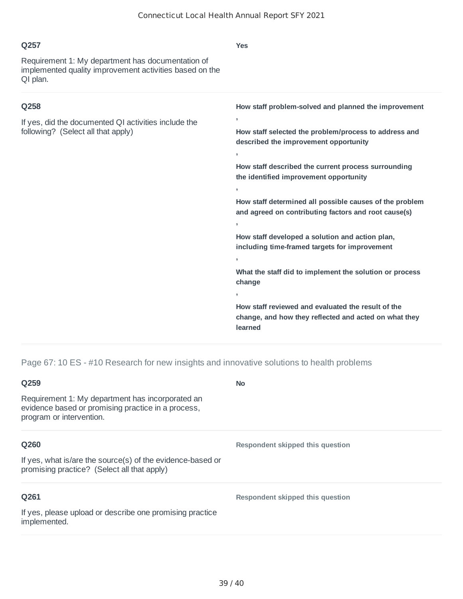| Q257                                                                                                                     | <b>Yes</b>                                                                                                             |
|--------------------------------------------------------------------------------------------------------------------------|------------------------------------------------------------------------------------------------------------------------|
| Requirement 1: My department has documentation of<br>implemented quality improvement activities based on the<br>QI plan. |                                                                                                                        |
| Q258                                                                                                                     | How staff problem-solved and planned the improvement                                                                   |
| If yes, did the documented QI activities include the<br>following? (Select all that apply)                               | У.                                                                                                                     |
|                                                                                                                          | How staff selected the problem/process to address and<br>described the improvement opportunity                         |
|                                                                                                                          | ÷                                                                                                                      |
|                                                                                                                          | How staff described the current process surrounding<br>the identified improvement opportunity                          |
|                                                                                                                          | У.                                                                                                                     |
|                                                                                                                          | How staff determined all possible causes of the problem<br>and agreed on contributing factors and root cause(s)        |
|                                                                                                                          | $\overline{1}$                                                                                                         |
|                                                                                                                          | How staff developed a solution and action plan,<br>including time-framed targets for improvement                       |
|                                                                                                                          | У.                                                                                                                     |
|                                                                                                                          | What the staff did to implement the solution or process<br>change                                                      |
|                                                                                                                          | $\mathbf{r}$                                                                                                           |
|                                                                                                                          | How staff reviewed and evaluated the result of the<br>change, and how they reflected and acted on what they<br>learned |

Page 67: 10 ES - #10 Research for new insights and innovative solutions to health problems

| Q259                                                                                                                               | <b>No</b>                        |
|------------------------------------------------------------------------------------------------------------------------------------|----------------------------------|
| Requirement 1: My department has incorporated an<br>evidence based or promising practice in a process,<br>program or intervention. |                                  |
| Q260                                                                                                                               | Respondent skipped this question |
| If yes, what is/are the source(s) of the evidence-based or<br>promising practice? (Select all that apply)                          |                                  |
| Q261                                                                                                                               | Respondent skipped this question |
| If yes, please upload or describe one promising practice<br>implemented.                                                           |                                  |